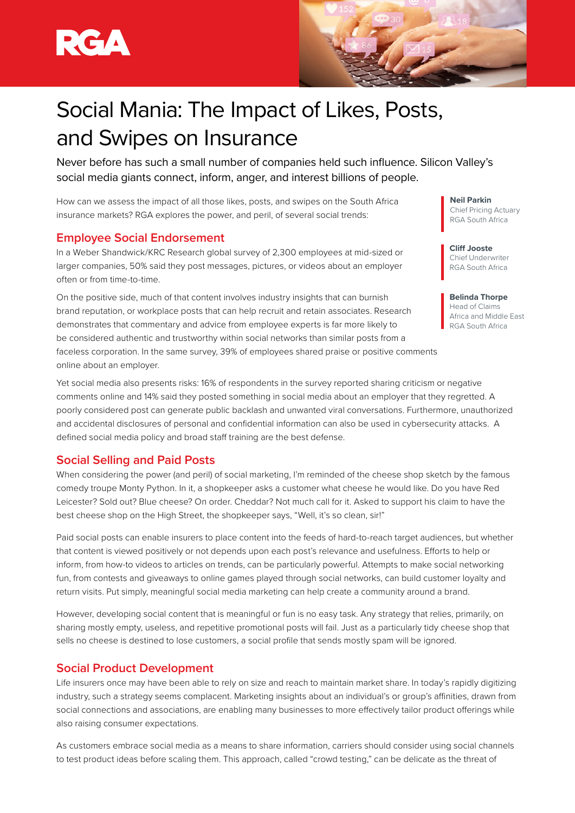



# Social Mania: The Impact of Likes, Posts, and Swipes on Insurance

Never before has such a small number of companies held such influence. Silicon Valley's social media giants connect, inform, anger, and interest billions of people.

How can we assess the impact of all those likes, posts, and swipes on the South Africa insurance markets? RGA explores the power, and peril, of several social trends:

### **Employee Social Endorsement**

In a Weber Shandwick/KRC Research global survey of 2,300 employees at mid-sized or larger companies, 50% said they post messages, pictures, or videos about an employer often or from time-to-time.

On the positive side, much of that content involves industry insights that can burnish brand reputation, or workplace posts that can help recruit and retain associates. Research demonstrates that commentary and advice from employee experts is far more likely to be considered authentic and trustworthy within social networks than similar posts from a faceless corporation. In the same survey, 39% of employees shared praise or positive comments online about an employer.

Yet social media also presents risks: 16% of respondents in the survey reported sharing criticism or negative comments online and 14% said they posted something in social media about an employer that they regretted. A poorly considered post can generate public backlash and unwanted viral conversations. Furthermore, unauthorized and accidental disclosures of personal and confidential information can also be used in cybersecurity attacks. A defined social media policy and broad staff training are the best defense.

## **Social Selling and Paid Posts**

When considering the power (and peril) of social marketing, I'm reminded of the cheese shop sketch by the famous comedy troupe Monty Python. In it, a shopkeeper asks a customer what cheese he would like. Do you have Red Leicester? Sold out? Blue cheese? On order. Cheddar? Not much call for it. Asked to support his claim to have the best cheese shop on the High Street, the shopkeeper says, "Well, it's so clean, sir!"

Paid social posts can enable insurers to place content into the feeds of hard-to-reach target audiences, but whether that content is viewed positively or not depends upon each post's relevance and usefulness. Efforts to help or inform, from how-to videos to articles on trends, can be particularly powerful. Attempts to make social networking fun, from contests and giveaways to online games played through social networks, can build customer loyalty and return visits. Put simply, meaningful social media marketing can help create a community around a brand.

However, developing social content that is meaningful or fun is no easy task. Any strategy that relies, primarily, on sharing mostly empty, useless, and repetitive promotional posts will fail. Just as a particularly tidy cheese shop that sells no cheese is destined to lose customers, a social profile that sends mostly spam will be ignored.

#### **Social Product Development**

Life insurers once may have been able to rely on size and reach to maintain market share. In today's rapidly digitizing industry, such a strategy seems complacent. Marketing insights about an individual's or group's affinities, drawn from social connections and associations, are enabling many businesses to more effectively tailor product offerings while also raising consumer expectations.

As customers embrace social media as a means to share information, carriers should consider using social channels to test product ideas before scaling them. This approach, called "crowd testing," can be delicate as the threat of

**Neil Parkin** Chief Pricing Actuary RGA South Africa

**Cliff Jooste** Chief Underwriter RGA South Africa

**Belinda Thorpe** Head of Claims Africa and Middle East RGA South Africa